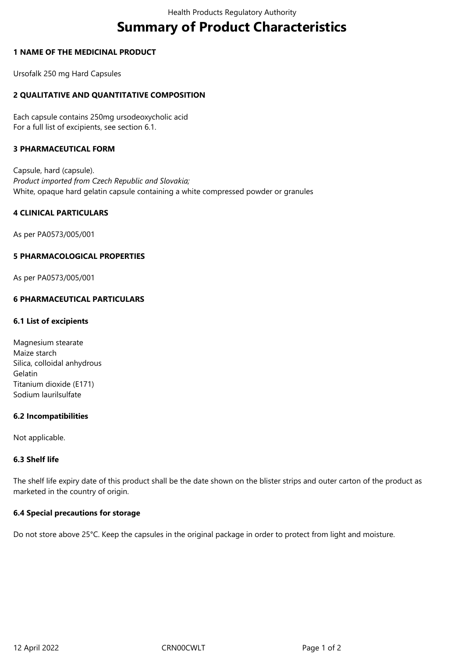# **Summary of Product Characteristics**

#### **1 NAME OF THE MEDICINAL PRODUCT**

Ursofalk 250 mg Hard Capsules

## **2 QUALITATIVE AND QUANTITATIVE COMPOSITION**

Each capsule contains 250mg ursodeoxycholic acid For a full list of excipients, see section 6.1.

#### **3 PHARMACEUTICAL FORM**

Capsule, hard (capsule). *Product imported from Czech Republic and Slovakia;* White, opaque hard gelatin capsule containing a white compressed powder or granules

## **4 CLINICAL PARTICULARS**

As per PA0573/005/001

#### **5 PHARMACOLOGICAL PROPERTIES**

As per PA0573/005/001

#### **6 PHARMACEUTICAL PARTICULARS**

#### **6.1 List of excipients**

| Magnesium stearate          |
|-----------------------------|
| Maize starch                |
| Silica, colloidal anhydrous |
| Gelatin                     |
| Titanium dioxide (E171)     |
| Sodium laurilsulfate        |

#### **6.2 Incompatibilities**

Not applicable.

#### **6.3 Shelf life**

The shelf life expiry date of this product shall be the date shown on the blister strips and outer carton of the product as marketed in the country of origin.

#### **6.4 Special precautions for storage**

Do not store above 25°C. Keep the capsules in the original package in order to protect from light and moisture.